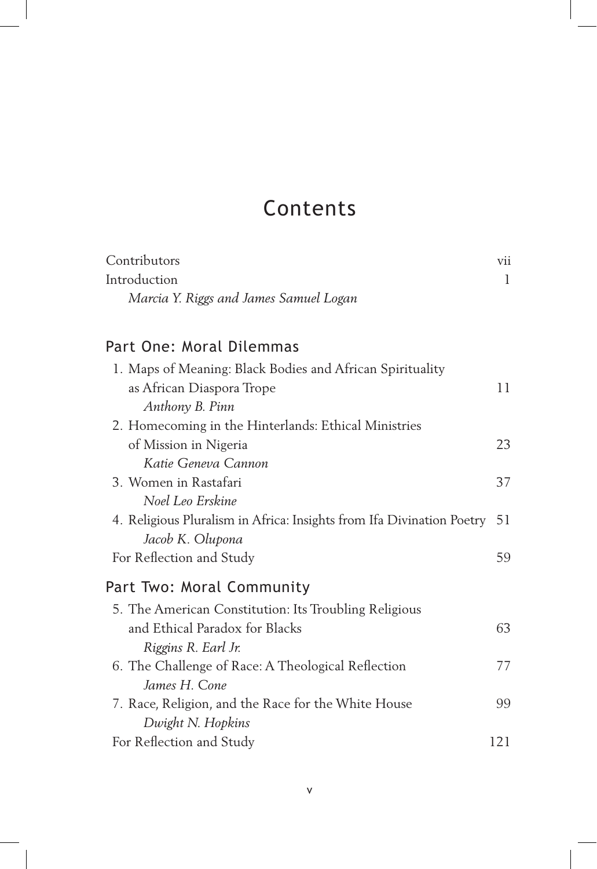## Contents

| Contributors                                                            | vii |
|-------------------------------------------------------------------------|-----|
| Introduction                                                            | 1   |
| Marcia Y. Riggs and James Samuel Logan                                  |     |
| Part One: Moral Dilemmas                                                |     |
| 1. Maps of Meaning: Black Bodies and African Spirituality               |     |
| as African Diaspora Trope                                               | 11  |
|                                                                         |     |
| Anthony B. Pinn<br>2. Homecoming in the Hinterlands: Ethical Ministries |     |
| of Mission in Nigeria                                                   | 23  |
| Katie Geneva Cannon                                                     |     |
| 3. Women in Rastafari                                                   | 37  |
| Noel Leo Erskine                                                        |     |
| 4. Religious Pluralism in Africa: Insights from Ifa Divination Poetry   | 51  |
| Jacob K. Olupona                                                        |     |
| For Reflection and Study                                                | 59  |
|                                                                         |     |
| Part Two: Moral Community                                               |     |
| 5. The American Constitution: Its Troubling Religious                   |     |
| and Ethical Paradox for Blacks                                          | 63  |
| Riggins R. Earl Jr.                                                     |     |
| 6. The Challenge of Race: A Theological Reflection                      | 77  |
| James H. Cone                                                           |     |
| 7. Race, Religion, and the Race for the White House                     | 99  |
| Dwight N. Hopkins                                                       |     |
| For Reflection and Study                                                | 121 |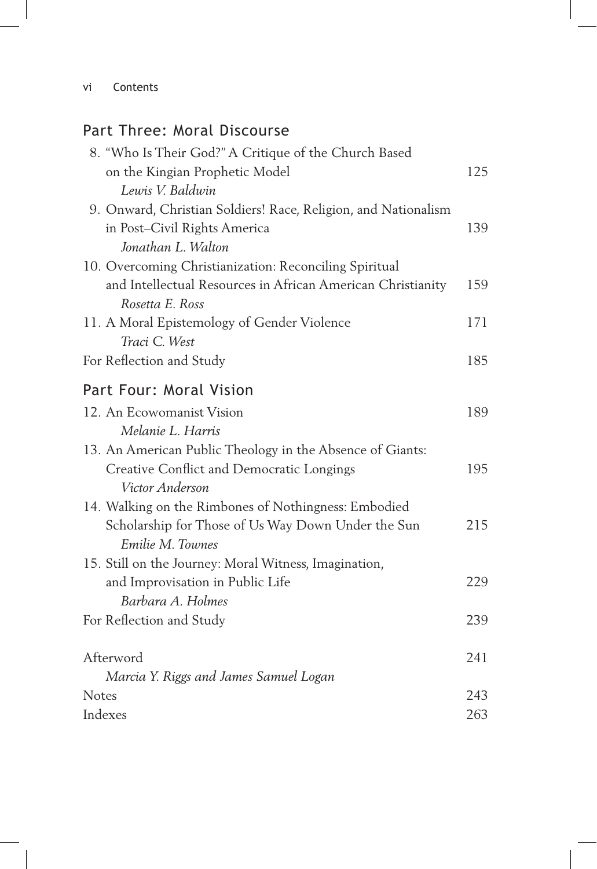## Part Three: Moral Discourse

| 8. "Who Is Their God?" A Critique of the Church Based<br>on the Kingian Prophetic Model | 125 |
|-----------------------------------------------------------------------------------------|-----|
| Lewis V. Baldwin                                                                        |     |
| 9. Onward, Christian Soldiers! Race, Religion, and Nationalism                          |     |
| in Post-Civil Rights America                                                            | 139 |
| Jonathan L. Walton                                                                      |     |
| 10. Overcoming Christianization: Reconciling Spiritual                                  |     |
| and Intellectual Resources in African American Christianity<br>Rosetta E. Ross          | 159 |
| 11. A Moral Epistemology of Gender Violence                                             | 171 |
| Traci C. West                                                                           |     |
| For Reflection and Study                                                                | 185 |
| Part Four: Moral Vision                                                                 |     |
| 12. An Ecowomanist Vision                                                               | 189 |
| Melanie L. Harris                                                                       |     |
| 13. An American Public Theology in the Absence of Giants:                               |     |
| Creative Conflict and Democratic Longings                                               | 195 |
| Victor Anderson                                                                         |     |
| 14. Walking on the Rimbones of Nothingness: Embodied                                    |     |
| Scholarship for Those of Us Way Down Under the Sun                                      | 215 |
| Emilie M. Townes                                                                        |     |
| 15. Still on the Journey: Moral Witness, Imagination,                                   |     |
| and Improvisation in Public Life                                                        | 229 |
| Barbara A. Holmes                                                                       |     |
| For Reflection and Study                                                                | 239 |
| Afterword                                                                               | 241 |
| Marcia Y. Riggs and James Samuel Logan                                                  |     |
| Notes                                                                                   | 243 |
| Indexes                                                                                 | 263 |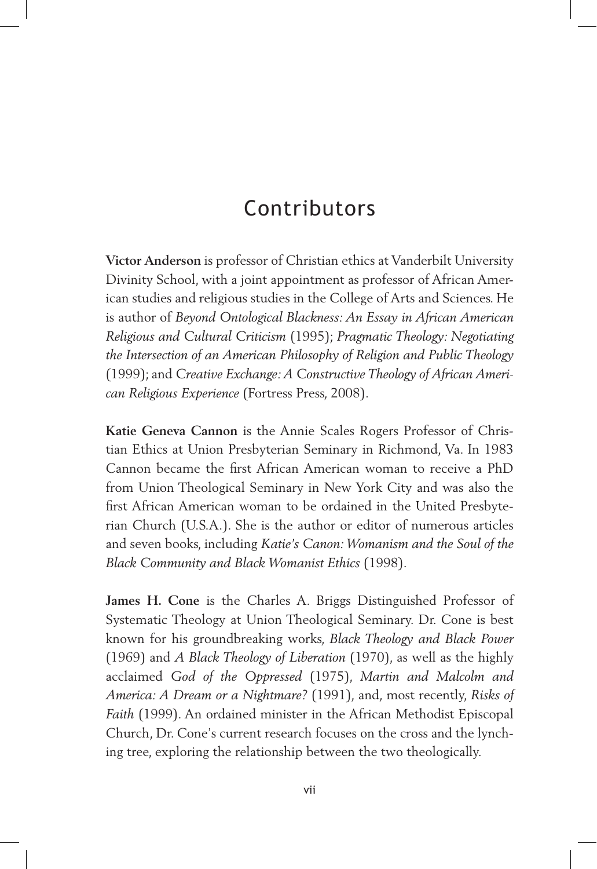## Contributors

**Victor Anderson** is professor of Christian ethics at Vanderbilt University Divinity School, with a joint appointment as professor of African American studies and religious studies in the College of Arts and Sciences. He is author of *Beyond Ontological Blackness: An Essay in African American Religious and Cultural Criticism* (1995); *Pragmatic Theology: Negotiating the Intersection of an American Philosophy of Religion and Public Theology*  (1999); and *Creative Exchange: A Constructive Theology of African American Religious Experience* (Fortress Press, 2008).

**Katie Geneva Cannon** is the Annie Scales Rogers Professor of Christian Ethics at Union Presbyterian Seminary in Richmond, Va. In 1983 Cannon became the first African American woman to receive a PhD from Union Theological Seminary in New York City and was also the first African American woman to be ordained in the United Presbyterian Church (U.S.A.). She is the author or editor of numerous articles and seven books, including *Katie's Canon: Womanism and the Soul of the Black Community and Black Womanist Ethics* (1998).

**James H. Cone** is the Charles A. Briggs Distinguished Professor of Systematic Theology at Union Theological Seminary. Dr. Cone is best known for his groundbreaking works, *Black Theology and Black Power* (1969) and *A Black Theology of Liberation* (1970), as well as the highly acclaimed *God of the Oppressed* (1975), *Martin and Malcolm and America: A Dream or a Nightmare?* (1991), and, most recently, *Risks of Faith* (1999). An ordained minister in the African Methodist Episcopal Church, Dr. Cone's current research focuses on the cross and the lynching tree, exploring the relationship between the two theologically.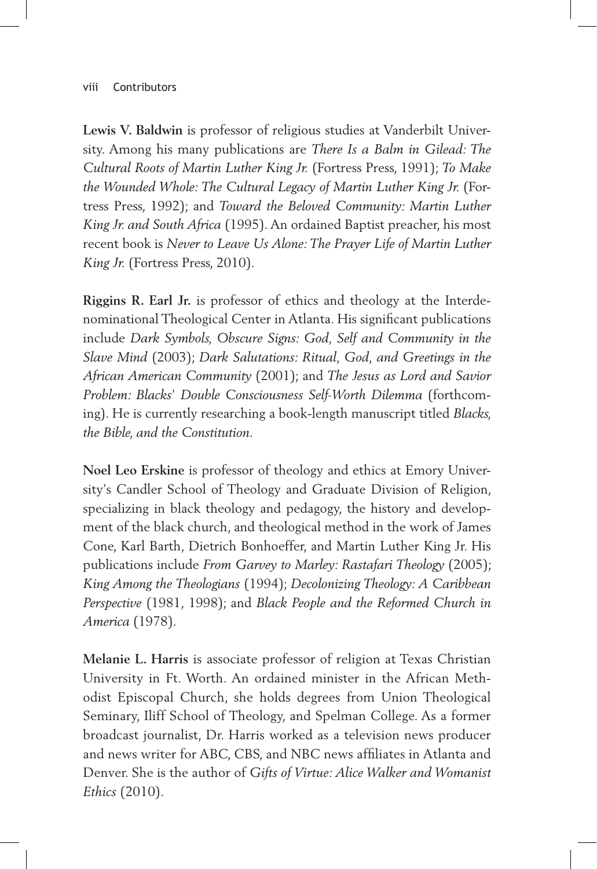**Lewis V. Baldwin** is professor of religious studies at Vanderbilt University. Among his many publications are *There Is a Balm in Gilead: The Cultural Roots of Martin Luther King Jr.* (Fortress Press, 1991); *To Make the Wounded Whole: The Cultural Legacy of Martin Luther King Jr.* (Fortress Press, 1992); and *Toward the Beloved Community: Martin Luther King Jr. and South Africa* (1995). An ordained Baptist preacher, his most recent book is *Never to Leave Us Alone: The Prayer Life of Martin Luther King Jr.* (Fortress Press, 2010).

**Riggins R. Earl Jr.** is professor of ethics and theology at the Interdenominational Theological Center in Atlanta. His significant publications include *Dark Symbols, Obscure Signs: God, Self and Community in the Slave Mind* (2003); *Dark Salutations: Ritual, God, and Greetings in the African American Community* (2001); and *The Jesus as Lord and Savior Problem: Blacks*' *Double Consciousness Self-Worth Dilemma* (forthcoming). He is currently researching a book-length manuscript titled *Blacks, the Bible, and the Constitution*.

**Noel Leo Erskine** is professor of theology and ethics at Emory University's Candler School of Theology and Graduate Division of Religion, specializing in black theology and pedagogy, the history and development of the black church, and theological method in the work of James Cone, Karl Barth, Dietrich Bonhoeffer, and Martin Luther King Jr. His publications include *From Garvey to Marley: Rastafari Theology* (2005); *King Among the Theologians* (1994); *Decolonizing Theology: A Caribbean Perspective* (1981, 1998); and *Black People and the Reformed Church in America* (1978).

**Melanie L. Harris** is associate professor of religion at Texas Christian University in Ft. Worth. An ordained minister in the African Methodist Episcopal Church, she holds degrees from Union Theological Seminary, Iliff School of Theology, and Spelman College. As a former broadcast journalist, Dr. Harris worked as a television news producer and news writer for ABC, CBS, and NBC news affiliates in Atlanta and Denver. She is the author of *Gifts of Virtue: Alice Walker and Womanist Ethics* (2010).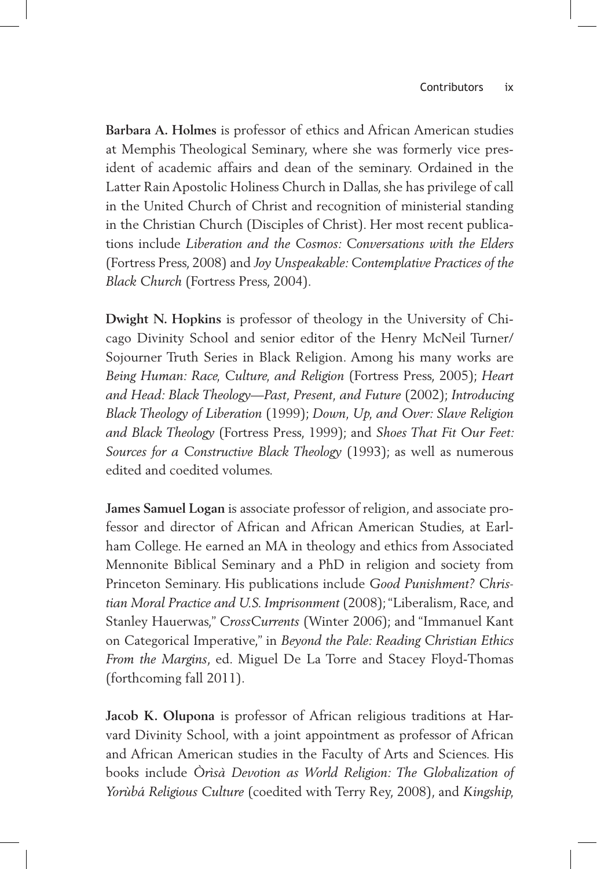**Barbara A. Holmes** is professor of ethics and African American studies at Memphis Theological Seminary, where she was formerly vice president of academic affairs and dean of the seminary. Ordained in the Latter Rain Apostolic Holiness Church in Dallas, she has privilege of call in the United Church of Christ and recognition of ministerial standing in the Christian Church (Disciples of Christ). Her most recent publications include *Liberation and the Cosmos: Conversations with the Elders*  (Fortress Press, 2008) and *Joy Unspeakable: Contemplative Practices of the Black Church* (Fortress Press, 2004)*.*

**Dwight N. Hopkins** is professor of theology in the University of Chicago Divinity School and senior editor of the Henry McNeil Turner/ Sojourner Truth Series in Black Religion. Among his many works are *Being Human: Race, Culture, and Religion* (Fortress Press, 2005); *Heart and Head: Black Theology—Past, Present, and Future* (2002); *Introducing Black Theology of Liberation* (1999); *Down, Up, and Over: Slave Religion and Black Theology* (Fortress Press, 1999); and *Shoes That Fit Our Feet: Sources for a Constructive Black Theology* (1993); as well as numerous edited and coedited volumes.

**James Samuel Logan** is associate professor of religion, and associate professor and director of African and African American Studies, at Earlham College. He earned an MA in theology and ethics from Associated Mennonite Biblical Seminary and a PhD in religion and society from Princeton Seminary. His publications include *Good Punishment? Christian Moral Practice and U.S. Imprisonment* (2008); "Liberalism, Race, and Stanley Hauerwas," *CrossCurrents* (Winter 2006); and "Immanuel Kant on Categorical Imperative," in *Beyond the Pale: Reading Christian Ethics From the Margins*, ed. Miguel De La Torre and Stacey Floyd-Thomas (forthcoming fall 2011).

**Jacob K. Olupona** is professor of African religious traditions at Harvard Divinity School, with a joint appointment as professor of African and African American studies in the Faculty of Arts and Sciences. His books include *Òrìsà Devotion as World Religion: The Globalization of Yorùbá Religious Culture* (coedited with Terry Rey, 2008), and *Kingship,*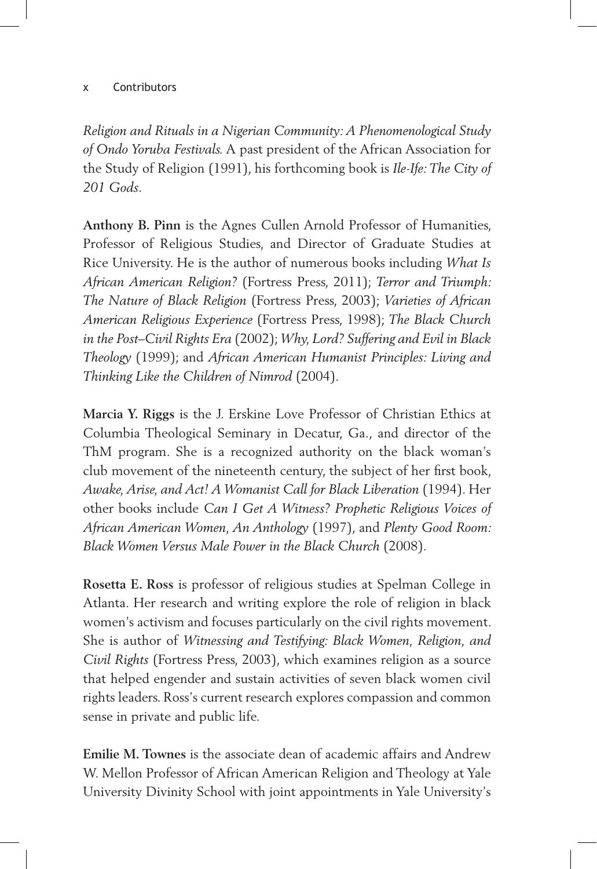*Religion and Rituals in a Nigerian Community: A Phenomenological Study of Ondo Yoruba Festivals.* A past president of the African Association for the Study of Religion (1991), his forthcoming book is *Ile-Ife: The City of 201 Gods*.

**Anthony B. Pinn** is the Agnes Cullen Arnold Professor of Humanities, Professor of Religious Studies, and Director of Graduate Studies at Rice University. He is the author of numerous books including *What Is African American Religion?* (Fortress Press, 2011); *Terror and Triumph: The Nature of Black Religion* (Fortress Press, 2003); *Varieties of African American Religious Experience* (Fortress Press, 1998); *The Black Church in the Post–Civil Rights Era* (2002); *Why, Lord? Suffering and Evil in Black Theology* (1999); and *African American Humanist Principles: Living and Thinking Like the Children of Nimrod* (2004)*.*

**Marcia Y. Riggs** is the J. Erskine Love Professor of Christian Ethics at Columbia Theological Seminary in Decatur, Ga., and director of the ThM program. She is a recognized authority on the black woman's club movement of the nineteenth century, the subject of her first book, *Awake, Arise, and Act! A Womanist Call for Black Liberation* (1994). Her other books include *Can I Get A Witness? Prophetic Religious Voices of African American Women, An Anthology* (1997), and *Plenty Good Room: Black Women Versus Male Power in the Black Church* (2008).

**Rosetta E. Ross** is professor of religious studies at Spelman College in Atlanta. Her research and writing explore the role of religion in black women's activism and focuses particularly on the civil rights movement. She is author of *Witnessing and Testifying: Black Women, Religion, and Civil Rights* (Fortress Press, 2003), which examines religion as a source that helped engender and sustain activities of seven black women civil rights leaders. Ross's current research explores compassion and common sense in private and public life.

**Emilie M. Townes** is the associate dean of academic affairs and Andrew W. Mellon Professor of African American Religion and Theology at Yale University Divinity School with joint appointments in Yale University's